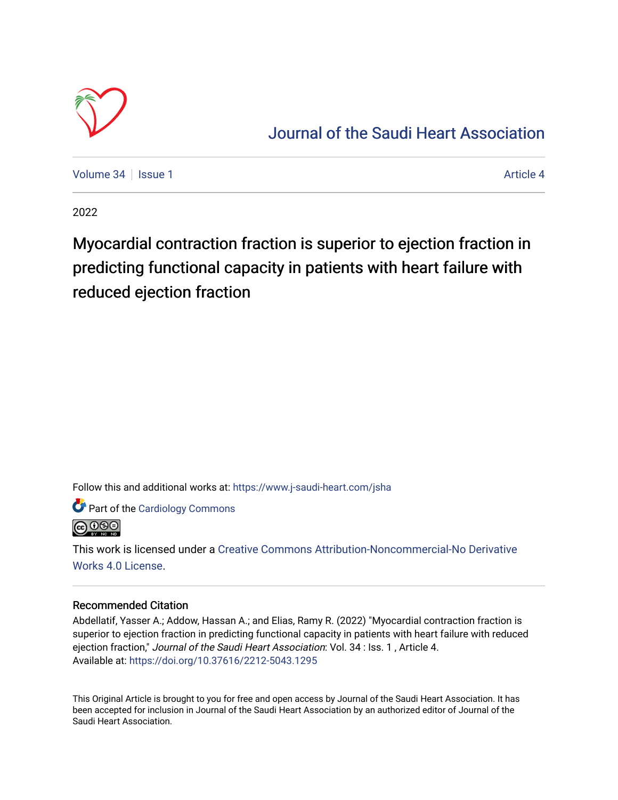

## [Journal of the Saudi Heart Association](https://www.j-saudi-heart.com/jsha)

[Volume 34](https://www.j-saudi-heart.com/jsha/vol34) | [Issue 1](https://www.j-saudi-heart.com/jsha/vol34/iss1) [Article 4](https://www.j-saudi-heart.com/jsha/vol34/iss1/4) Article 4 Article 4 Article 4 Article 4 Article 4 Article 4 Article 4 Article 4

2022

Myocardial contraction fraction is superior to ejection fraction in predicting functional capacity in patients with heart failure with reduced ejection fraction

Follow this and additional works at: [https://www.j-saudi-heart.com/jsha](https://www.j-saudi-heart.com/jsha?utm_source=www.j-saudi-heart.com%2Fjsha%2Fvol34%2Fiss1%2F4&utm_medium=PDF&utm_campaign=PDFCoverPages) 

Part of the [Cardiology Commons](http://network.bepress.com/hgg/discipline/683?utm_source=www.j-saudi-heart.com%2Fjsha%2Fvol34%2Fiss1%2F4&utm_medium=PDF&utm_campaign=PDFCoverPages)



This work is licensed under a [Creative Commons Attribution-Noncommercial-No Derivative](http://creativecommons.org/licenses/by-nc-nd/4.0/)  [Works 4.0 License](http://creativecommons.org/licenses/by-nc-nd/4.0/).

## Recommended Citation

Abdellatif, Yasser A.; Addow, Hassan A.; and Elias, Ramy R. (2022) "Myocardial contraction fraction is superior to ejection fraction in predicting functional capacity in patients with heart failure with reduced ejection fraction," Journal of the Saudi Heart Association: Vol. 34 : Iss. 1 , Article 4. Available at:<https://doi.org/10.37616/2212-5043.1295>

This Original Article is brought to you for free and open access by Journal of the Saudi Heart Association. It has been accepted for inclusion in Journal of the Saudi Heart Association by an authorized editor of Journal of the Saudi Heart Association.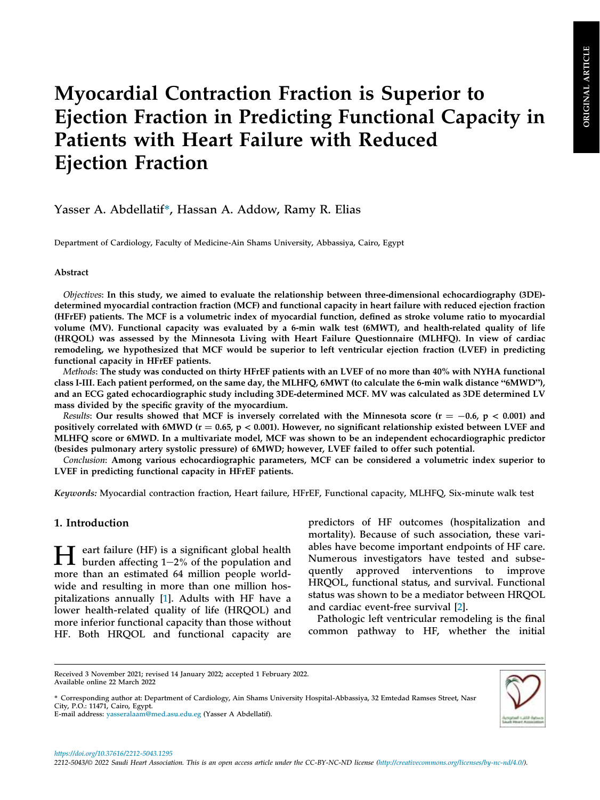# Myocardial Contraction Fraction is Superior to Ejection Fraction in Predicting Functional Capacity in Patients with Heart Failure with Reduced Ejection Fraction

## Yasser A. Abdellatif\*, Hassan A. Addow, Ramy R. Elias

Department of Cardiology, Faculty of Medicine-Ain Shams University, Abbassiya, Cairo, Egypt

#### Abstract

Objectives: In this study, we aimed to evaluate the relationship between three-dimensional echocardiography (3DE) determined myocardial contraction fraction (MCF) and functional capacity in heart failure with reduced ejection fraction (HFrEF) patients. The MCF is a volumetric index of myocardial function, defined as stroke volume ratio to myocardial volume (MV). Functional capacity was evaluated by a 6-min walk test (6MWT), and health-related quality of life (HRQOL) was assessed by the Minnesota Living with Heart Failure Questionnaire (MLHFQ). In view of cardiac remodeling, we hypothesized that MCF would be superior to left ventricular ejection fraction (LVEF) in predicting functional capacity in HFrEF patients.

Methods: The study was conducted on thirty HFrEF patients with an LVEF of no more than 40% with NYHA functional class I-III. Each patient performed, on the same day, the MLHFQ, 6MWT (to calculate the 6-min walk distance "6MWD"), and an ECG gated echocardiographic study including 3DE-determined MCF. MV was calculated as 3DE determined LV mass divided by the specific gravity of the myocardium.

Results: Our results showed that MCF is inversely correlated with the Minnesota score ( $r = -0.6$ ,  $p < 0.001$ ) and positively correlated with 6MWD ( $r = 0.65$ ,  $p < 0.001$ ). However, no significant relationship existed between LVEF and MLHFQ score or 6MWD. In a multivariate model, MCF was shown to be an independent echocardiographic predictor (besides pulmonary artery systolic pressure) of 6MWD; however, LVEF failed to offer such potential.

Conclusion: Among various echocardiographic parameters, MCF can be considered a volumetric index superior to LVEF in predicting functional capacity in HFrEF patients.

Keywords: Myocardial contraction fraction, Heart failure, HFrEF, Functional capacity, MLHFQ, Six-minute walk test

## 1. Introduction

 $\prod$  eart failure (HF) is a significant global health<br>burden affecting 1-2% of the population and more than an estimated 64 million people worldwide and resulting in more than one million hospitalizations annually [[1\]](#page-8-0). Adults with HF have a lower health-related quality of life (HROOL) and more inferior functional capacity than those without HF. Both HRQOL and functional capacity are predictors of HF outcomes (hospitalization and mortality). Because of such association, these variables have become important endpoints of HF care. Numerous investigators have tested and subsequently approved interventions to improve HRQOL, functional status, and survival. Functional status was shown to be a mediator between HRQOL and cardiac event-free survival [\[2](#page-8-1)].

Pathologic left ventricular remodeling is the final common pathway to HF, whether the initial



<sup>\*</sup> Corresponding author at: Department of Cardiology, Ain Shams University Hospital-Abbassiya, 32 Emtedad Ramses Street, Nasr City, P.O.: 11471, Cairo, Egypt. E-mail address: [yasseralaam@med.asu.edu.eg](mailto:yasseralaam@med.asu.edu.eg) (Yasser A Abdellatif).

<https://doi.org/10.37616/2212-5043.1295>

Received 3 November 2021; revised 14 January 2022; accepted 1 February 2022. Available online 22 March 2022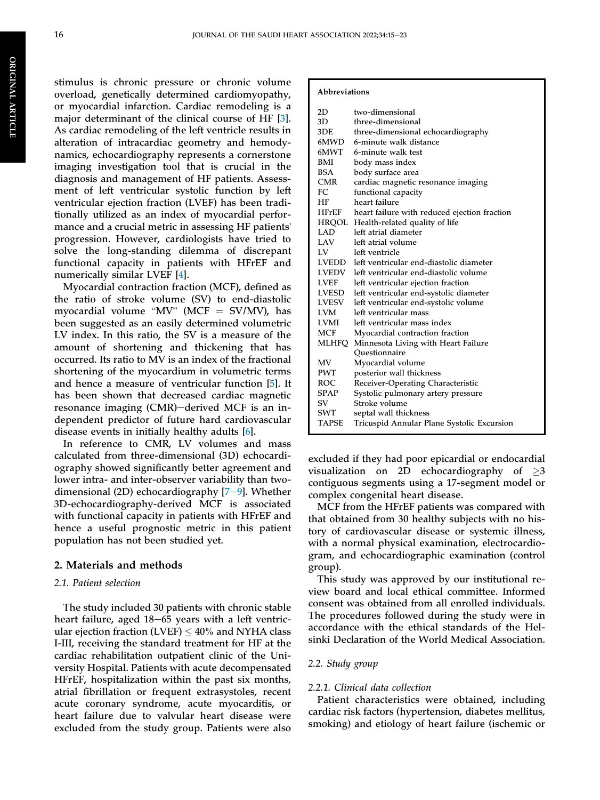stimulus is chronic pressure or chronic volume overload, genetically determined cardiomyopathy, or myocardial infarction. Cardiac remodeling is a major determinant of the clinical course of HF [\[3](#page-8-2)]. As cardiac remodeling of the left ventricle results in alteration of intracardiac geometry and hemodynamics, echocardiography represents a cornerstone imaging investigation tool that is crucial in the diagnosis and management of HF patients. Assessment of left ventricular systolic function by left ventricular ejection fraction (LVEF) has been traditionally utilized as an index of myocardial performance and a crucial metric in assessing HF patients' progression. However, cardiologists have tried to solve the long-standing dilemma of discrepant functional capacity in patients with HFrEF and numerically similar LVEF [\[4](#page-8-3)].

Myocardial contraction fraction (MCF), defined as the ratio of stroke volume (SV) to end-diastolic myocardial contraction fraction ( $WCF$ ), defined as<br>the ratio of stroke volume (SV) to end-diastolic<br>myocardial volume "MV" (MCF = SV/MV), has been suggested as an easily determined volumetric LV index. In this ratio, the SV is a measure of the amount of shortening and thickening that has occurred. Its ratio to MV is an index of the fractional shortening of the myocardium in volumetric terms and hence a measure of ventricular function [[5\]](#page-8-4). It has been shown that decreased cardiac magnetic resonance imaging (CMR)-derived MCF is an independent predictor of future hard cardiovascular disease events in initially healthy adults [[6\]](#page-9-0).

In reference to CMR, LV volumes and mass calculated from three-dimensional (3D) echocardiography showed significantly better agreement and lower intra- and inter-observer variability than twodimensional (2D) echocardiography  $[7-9]$  $[7-9]$  $[7-9]$  $[7-9]$ . Whether 3D-echocardiography-derived MCF is associated with functional capacity in patients with HFrEF and hence a useful prognostic metric in this patient population has not been studied yet.

#### 2. Materials and methods

#### 2.1. Patient selection

The study included 30 patients with chronic stable heart failure, aged  $18-65$  years with a left ventricular ejection fraction (LVEF)  $\leq 40\%$  and NYHA class I-III, receiving the standard treatment for HF at the cardiac rehabilitation outpatient clinic of the University Hospital. Patients with acute decompensated HFrEF, hospitalization within the past six months, atrial fibrillation or frequent extrasystoles, recent acute coronary syndrome, acute myocarditis, or heart failure due to valvular heart disease were excluded from the study group. Patients were also

#### Abbreviations

| 2D           | two-dimensional                              |
|--------------|----------------------------------------------|
| 3D.          | three-dimensional                            |
| 3DE          | three-dimensional echocardiography           |
| 6MWD -       | 6-minute walk distance                       |
| 6MWT -       | 6-minute walk test                           |
| BMI          | body mass index                              |
| BSA          | body surface area                            |
| <b>CMR</b>   | cardiac magnetic resonance imaging           |
| FC.          | functional capacity                          |
| HF .         | heart failure                                |
| $H$ FrEF     | heart failure with reduced ejection fraction |
| HRQOL        | Health-related quality of life               |
| LAD          | left atrial diameter                         |
| LAV —        | left atrial volume                           |
| LV           | left ventricle                               |
| LVEDD        | left ventricular end-diastolic diameter      |
| <b>LVEDV</b> | left ventricular end-diastolic volume        |
| <b>LVEF</b>  | left ventricular ejection fraction           |
| LVESD        | left ventricular end-systolic diameter       |
| LVESV        | left ventricular end-systolic volume         |
| LVM          | left ventricular mass                        |
| LVMI         | left ventricular mass index                  |
| MCF          | Myocardial contraction fraction              |
| MLHFQ        | Minnesota Living with Heart Failure          |
|              | Ouestionnaire                                |
| MV           | Myocardial volume                            |
| PWT          | posterior wall thickness                     |
| <b>ROC</b>   | Receiver-Operating Characteristic            |
| <b>SPAP</b>  | Systolic pulmonary artery pressure           |
| SV           | Stroke volume                                |
| SWT          | septal wall thickness                        |
| TAPSE        | Tricuspid Annular Plane Systolic Excursion   |

excluded if they had poor epicardial or endocardial visualization on 2D echocardiography of  $\geq$ 3 contiguous segments using a 17-segment model or complex congenital heart disease.

MCF from the HFrEF patients was compared with that obtained from 30 healthy subjects with no history of cardiovascular disease or systemic illness, with a normal physical examination, electrocardiogram, and echocardiographic examination (control group).

This study was approved by our institutional review board and local ethical committee. Informed consent was obtained from all enrolled individuals. The procedures followed during the study were in accordance with the ethical standards of the Helsinki Declaration of the World Medical Association.

#### 2.2. Study group

#### 2.2.1. Clinical data collection

Patient characteristics were obtained, including cardiac risk factors (hypertension, diabetes mellitus, smoking) and etiology of heart failure (ischemic or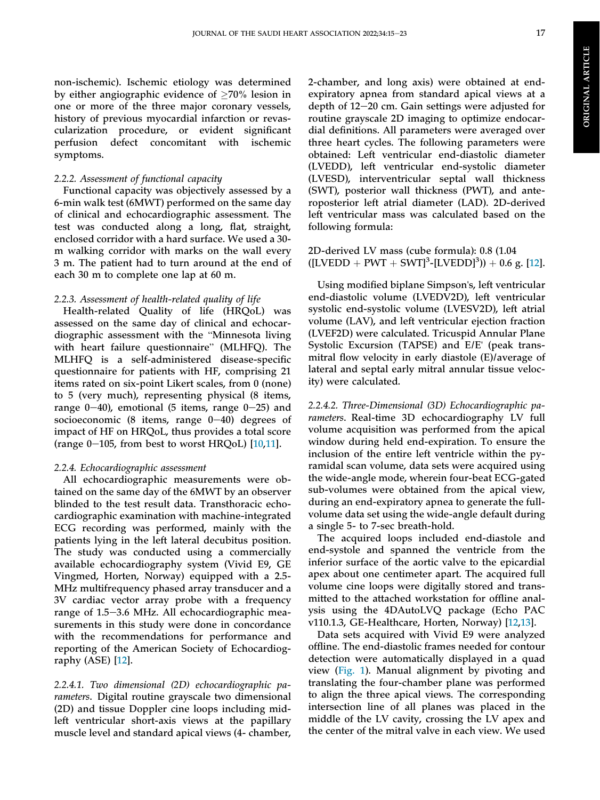non-ischemic). Ischemic etiology was determined by either angiographic evidence of  $\geq 70\%$  lesion in one or more of the three major coronary vessels, history of previous myocardial infarction or revascularization procedure, or evident significant perfusion defect concomitant with ischemic

## 2.2.2. Assessment of functional capacity

symptoms.

Functional capacity was objectively assessed by a 6-min walk test (6MWT) performed on the same day of clinical and echocardiographic assessment. The test was conducted along a long, flat, straight, enclosed corridor with a hard surface. We used a 30 m walking corridor with marks on the wall every 3 m. The patient had to turn around at the end of each 30 m to complete one lap at 60 m.

## 2.2.3. Assessment of health-related quality of life

Health-related Quality of life (HRQoL) was assessed on the same day of clinical and echocarmeann-related Quality of the (FINQOL) was<br>assessed on the same day of clinical and echocar-<br>diographic assessment with the "Minnesota living diographic assessment with the "Minnesota living<br>with heart failure questionnaire" (MLHFQ). The MLHFQ is a self-administered disease-specific questionnaire for patients with HF, comprising 21 items rated on six-point Likert scales, from 0 (none) to 5 (very much), representing physical (8 items, range  $0-40$ ), emotional (5 items, range  $0-25$ ) and socioeconomic (8 items, range  $0-40$ ) degrees of impact of HF on HRQoL, thus provides a total score (range  $0-105$ , from best to worst HRQoL) [\[10](#page-9-2),[11\]](#page-9-3).

## 2.2.4. Echocardiographic assessment

All echocardiographic measurements were obtained on the same day of the 6MWT by an observer blinded to the test result data. Transthoracic echocardiographic examination with machine-integrated ECG recording was performed, mainly with the patients lying in the left lateral decubitus position. The study was conducted using a commercially available echocardiography system (Vivid E9, GE Vingmed, Horten, Norway) equipped with a 2.5- MHz multifrequency phased array transducer and a 3V cardiac vector array probe with a frequency range of 1.5-3.6 MHz. All echocardiographic measurements in this study were done in concordance with the recommendations for performance and reporting of the American Society of Echocardiography (ASE) [\[12](#page-9-4)].

2.2.4.1. Two dimensional (2D) echocardiographic parameters. Digital routine grayscale two dimensional (2D) and tissue Doppler cine loops including midleft ventricular short-axis views at the papillary muscle level and standard apical views (4- chamber,

2-chamber, and long axis) were obtained at endexpiratory apnea from standard apical views at a depth of  $12-20$  cm. Gain settings were adjusted for routine grayscale 2D imaging to optimize endocardial definitions. All parameters were averaged over three heart cycles. The following parameters were obtained: Left ventricular end-diastolic diameter (LVEDD), left ventricular end-systolic diameter (LVESD), interventricular septal wall thickness (SWT), posterior wall thickness (PWT), and anteroposterior left atrial diameter (LAD). 2D-derived left ventricular mass was calculated based on the following formula:

2D-derived LV mass (cube formula): 0.8 (1.04  $([LVEDD + PWT + SWT]<sup>3</sup> - [LVEDD]<sup>3</sup>$ ) + 0.6 g. [[12\]](#page-9-4).

Using modified biplane Simpson's, left ventricular end-diastolic volume (LVEDV2D), left ventricular systolic end-systolic volume (LVESV2D), left atrial volume (LAV), and left ventricular ejection fraction (LVEF2D) were calculated. Tricuspid Annular Plane Systolic Excursion (TAPSE) and E/E' (peak transmitral flow velocity in early diastole (E)/average of lateral and septal early mitral annular tissue velocity) were calculated.

2.2.4.2. Three-Dimensional (3D) Echocardiographic parameters. Real-time 3D echocardiography LV full volume acquisition was performed from the apical window during held end-expiration. To ensure the inclusion of the entire left ventricle within the pyramidal scan volume, data sets were acquired using the wide-angle mode, wherein four-beat ECG-gated sub-volumes were obtained from the apical view, during an end-expiratory apnea to generate the fullvolume data set using the wide-angle default during a single 5- to 7-sec breath-hold.

The acquired loops included end-diastole and end-systole and spanned the ventricle from the inferior surface of the aortic valve to the epicardial apex about one centimeter apart. The acquired full volume cine loops were digitally stored and transmitted to the attached workstation for offline analysis using the 4DAutoLVQ package (Echo PAC v110.1.3, GE-Healthcare, Horten, Norway) [[12,](#page-9-4)[13](#page-9-5)].

Data sets acquired with Vivid E9 were analyzed offline. The end-diastolic frames needed for contour detection were automatically displayed in a quad view ([Fig. 1\)](#page-4-0). Manual alignment by pivoting and translating the four-chamber plane was performed to align the three apical views. The corresponding intersection line of all planes was placed in the middle of the LV cavity, crossing the LV apex and the center of the mitral valve in each view. We used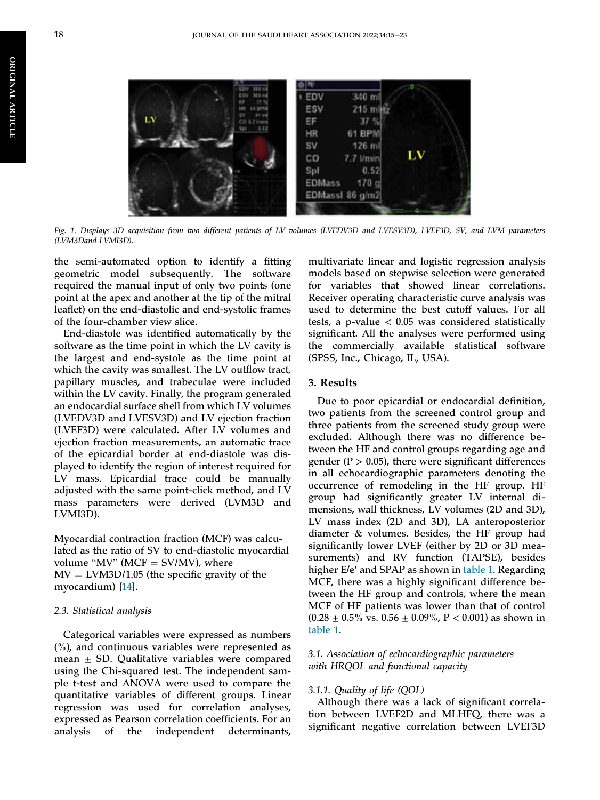<span id="page-4-0"></span>ORIGINAL

**ORIGINAL ARTICLE** 

ARTICLE



Fig. 1. Displays 3D acquisition from two different patients of LV volumes (LVEDV3D and LVESV3D), LVEF3D, SV, and LVM parameters (LVM3Dand LVMI3D).

the semi-automated option to identify a fitting geometric model subsequently. The software required the manual input of only two points (one point at the apex and another at the tip of the mitral leaflet) on the end-diastolic and end-systolic frames of the four-chamber view slice.

End-diastole was identified automatically by the software as the time point in which the LV cavity is the largest and end-systole as the time point at which the cavity was smallest. The LV outflow tract, papillary muscles, and trabeculae were included within the LV cavity. Finally, the program generated an endocardial surface shell from which LV volumes (LVEDV3D and LVESV3D) and LV ejection fraction (LVEF3D) were calculated. After LV volumes and ejection fraction measurements, an automatic trace of the epicardial border at end-diastole was displayed to identify the region of interest required for LV mass. Epicardial trace could be manually adjusted with the same point-click method, and LV mass parameters were derived (LVM3D and LVMI3D).

Myocardial contraction fraction (MCF) was calculated as the ratio of SV to end-diastolic myocardial Myocardial contraction fraction (MCF)<br>lated as the ratio of SV to end-diastolic<br>volume "MV" (MCF = SV/MV), where  $MV = LVM3D/1.05$  (the specific gravity of the myocardium) [\[14](#page-9-6)].

#### 2.3. Statistical analysis

Categorical variables were expressed as numbers  $(\%)$ , and continuous variables were represented as mean  $\pm$  SD. Qualitative variables were compared using the Chi-squared test. The independent sample t-test and ANOVA were used to compare the quantitative variables of different groups. Linear regression was used for correlation analyses, expressed as Pearson correlation coefficients. For an analysis of the independent determinants,

multivariate linear and logistic regression analysis models based on stepwise selection were generated for variables that showed linear correlations. Receiver operating characteristic curve analysis was used to determine the best cutoff values. For all tests, a p-value  $< 0.05$  was considered statistically significant. All the analyses were performed using the commercially available statistical software (SPSS, Inc., Chicago, IL, USA).

#### 3. Results

Due to poor epicardial or endocardial definition, two patients from the screened control group and three patients from the screened study group were excluded. Although there was no difference between the HF and control groups regarding age and gender ( $P > 0.05$ ), there were significant differences in all echocardiographic parameters denoting the occurrence of remodeling in the HF group. HF group had significantly greater LV internal dimensions, wall thickness, LV volumes (2D and 3D), LV mass index (2D and 3D), LA anteroposterior diameter & volumes. Besides, the HF group had significantly lower LVEF (either by 2D or 3D measurements) and RV function (TAPSE), besides higher E/e' and SPAP as shown in [table 1.](#page-5-0) Regarding MCF, there was a highly significant difference between the HF group and controls, where the mean MCF of HF patients was lower than that of control (0.28  $\pm$  0.5% vs. 0.56  $\pm$  0.09%, P  $<$  0.001) as shown in [table 1.](#page-5-0)

#### 3.1. Association of echocardiographic parameters with HRQOL and functional capacity

#### 3.1.1. Quality of life (QOL)

Although there was a lack of significant correlation between LVEF2D and MLHFQ, there was a significant negative correlation between LVEF3D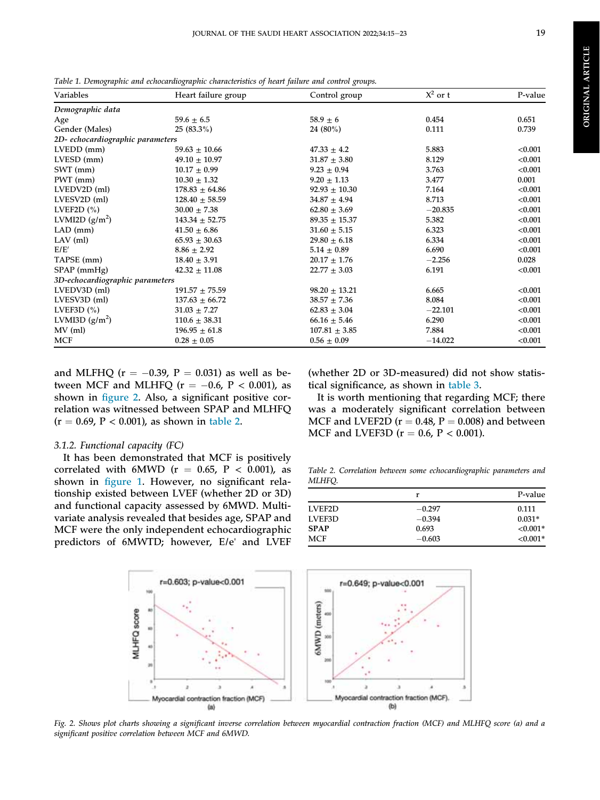**ORIGINAL ARTICLE** ORIGINAL ARTICLE

<span id="page-5-0"></span>Table 1. Demographic and echocardiographic characteristics of heart failure and control groups.

| Variables                        | Heart failure group | Control group     | $X^2$ or t | P-value |
|----------------------------------|---------------------|-------------------|------------|---------|
| Demographic data                 |                     |                   |            |         |
| Age                              | $59.6 \pm 6.5$      | $58.9\pm6$        | 0.454      | 0.651   |
| Gender (Males)                   | $25(83.3\%)$        | 24 (80%)          | 0.111      | 0.739   |
| 2D- echocardiographic parameters |                     |                   |            |         |
| $LVEDD$ (mm)                     | $59.63 \pm 10.66$   | $47.33 \pm 4.2$   | 5.883      | < 0.001 |
| LVESD (mm)                       | $49.10 \pm 10.97$   | $31.87 \pm 3.80$  | 8.129      | < 0.001 |
| SWT (mm)                         | $10.17 \pm 0.99$    | $9.23 \pm 0.94$   | 3.763      | < 0.001 |
| PWT (mm)                         | $10.30 \pm 1.32$    | $9.20 \pm 1.13$   | 3.477      | 0.001   |
| LVEDV2D (ml)                     | $178.83 \pm 64.86$  | $92.93 \pm 10.30$ | 7.164      | < 0.001 |
| LVESV2D (ml)                     | $128.40 \pm 58.59$  | $34.87 \pm 4.94$  | 8.713      | < 0.001 |
| LVEF2D $(\% )$                   | $30.00 \pm 7.38$    | $62.80 \pm 3.69$  | $-20.835$  | < 0.001 |
| LVMI2D $(g/m^2)$                 | $143.34 \pm 52.75$  | $89.35 + 15.37$   | 5.382      | < 0.001 |
| $LAD$ (mm)                       | $41.50 \pm 6.86$    | $31.60 \pm 5.15$  | 6.323      | < 0.001 |
| $LAV$ (ml)                       | $65.93 \pm 30.63$   | $29.80 \pm 6.18$  | 6.334      | < 0.001 |
| E/E'                             | $8.86 \pm 2.92$     | $5.14 \pm 0.89$   | 6.690      | < 0.001 |
| TAPSE (mm)                       | $18.40 \pm 3.91$    | $20.17 \pm 1.76$  | $-2.256$   | 0.028   |
| SPAP (mmHg)                      | $42.32 \pm 11.08$   | $22.77 \pm 3.03$  | 6.191      | < 0.001 |
| 3D-echocardiographic parameters  |                     |                   |            |         |
| $LVEDV3D$ (ml)                   | $191.57 \pm 75.59$  | $98.20 \pm 13.21$ | 6.665      | < 0.001 |
| LVESV3D (ml)                     | $137.63 \pm 66.72$  | $38.57 \pm 7.36$  | 8.084      | < 0.001 |
| LVEF3D $(\% )$                   | $31.03 \pm 7.27$    | $62.83 \pm 3.04$  | $-22.101$  | < 0.001 |
| LVMI3D $(g/m^2)$                 | $110.6 \pm 38.31$   | $66.16 \pm 5.46$  | 6.290      | < 0.001 |
| $MV$ (ml)                        | $196.95 \pm 61.8$   | $107.81 \pm 3.85$ | 7.884      | < 0.001 |
| <b>MCF</b>                       | $0.28 \pm 0.05$     | $0.56 \pm 0.09$   | $-14.022$  | < 0.001 |

and MLFHQ ( $r = -0.39$ ,  $P = 0.031$ ) as well as between MCF and MLHFQ ( $r = -0.6$ ,  $P < 0.001$ ), as shown in fi[gure 2](#page-5-1). Also, a significant positive correlation was witnessed between SPAP and MLHFQ  $(r = 0.69, P < 0.001)$ , as shown in [table 2](#page-5-2).

#### 3.1.2. Functional capacity (FC)

It has been demonstrated that MCF is positively correlated with 6MWD ( $r = 0.65$ ,  $P < 0.001$ ), as shown in fi[gure 1](#page-4-0). However, no significant relationship existed between LVEF (whether 2D or 3D) and functional capacity assessed by 6MWD. Multivariate analysis revealed that besides age, SPAP and MCF were the only independent echocardiographic predictors of 6MWTD; however, E/e' and LVEF (whether 2D or 3D-measured) did not show statistical significance, as shown in [table 3.](#page-6-0)

It is worth mentioning that regarding MCF; there was a moderately significant correlation between MCF and LVEF2D ( $r = 0.48$ ,  $P = 0.008$ ) and between MCF and LVEF3D ( $r = 0.6$ ,  $P < 0.001$ ).

<span id="page-5-2"></span>Table 2. Correlation between some echocardiographic parameters and MLHFQ.

|             | r        | P-value     |
|-------------|----------|-------------|
| LVEF2D      | $-0.297$ | 0.111       |
| LVEF3D      | $-0.394$ | $0.031*$    |
| <b>SPAP</b> | 0.693    | ${<}0.001*$ |
| <b>MCF</b>  | $-0.603$ | $< 0.001*$  |

<span id="page-5-1"></span>

Fig. 2. Shows plot charts showing a significant inverse correlation between myocardial contraction fraction (MCF) and MLHFQ score (a) and a significant positive correlation between MCF and 6MWD.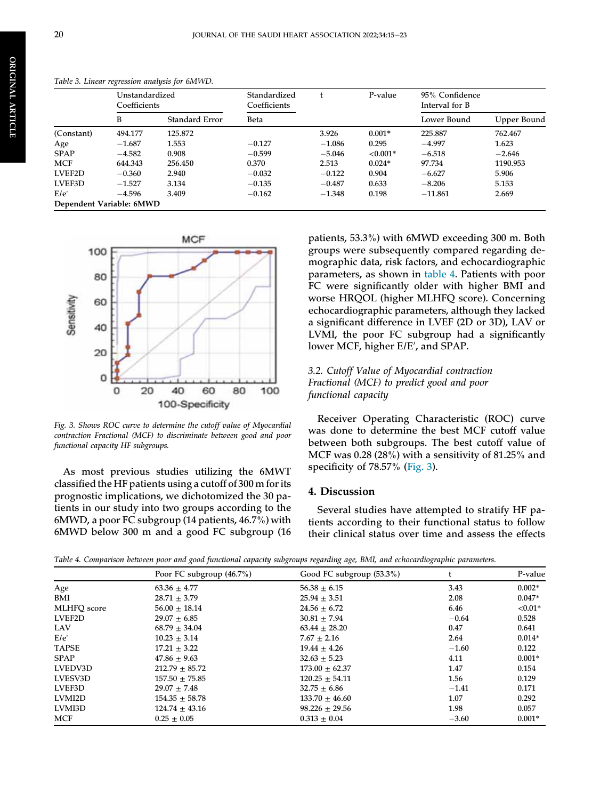|             | Unstandardized<br>Coefficients |                | Standardized<br>Coefficients |          | P-value    | 95% Confidence<br>Interval for B |             |
|-------------|--------------------------------|----------------|------------------------------|----------|------------|----------------------------------|-------------|
|             | B                              | Standard Error | Beta                         |          |            | Lower Bound                      | Upper Bound |
| (Constant)  | 494.177                        | 125.872        |                              | 3.926    | $0.001*$   | 225.887                          | 762.467     |
| Age         | $-1.687$                       | 1.553          | $-0.127$                     | $-1.086$ | 0.295      | $-4.997$                         | 1.623       |
| <b>SPAP</b> | $-4.582$                       | 0.908          | $-0.599$                     | $-5.046$ | $< 0.001*$ | $-6.518$                         | $-2.646$    |
| <b>MCF</b>  | 644.343                        | 256.450        | 0.370                        | 2.513    | $0.024*$   | 97.734                           | 1190.953    |
| LVEF2D      | $-0.360$                       | 2.940          | $-0.032$                     | $-0.122$ | 0.904      | $-6.627$                         | 5.906       |
| LVEF3D      | $-1.527$                       | 3.134          | $-0.135$                     | $-0.487$ | 0.633      | $-8.206$                         | 5.153       |
| E/e'        | $-4.596$                       | 3.409          | $-0.162$                     | $-1.348$ | 0.198      | $-11.861$                        | 2.669       |
|             | Dependent Variable: 6MWD       |                |                              |          |            |                                  |             |

<span id="page-6-0"></span>Table 3. Linear regression analysis for 6MWD.

<span id="page-6-2"></span>

Fig. 3. Shows ROC curve to determine the cutoff value of Myocardial contraction Fractional (MCF) to discriminate between good and poor functional capacity HF subgroups.

As most previous studies utilizing the 6MWT classified the HF patients using a cutoff of 300 m for its prognostic implications, we dichotomized the 30 patients in our study into two groups according to the 6MWD, a poor FC subgroup (14 patients, 46.7%) with 6MWD below 300 m and a good FC subgroup (16 patients, 53.3%) with 6MWD exceeding 300 m. Both groups were subsequently compared regarding demographic data, risk factors, and echocardiographic parameters, as shown in [table 4.](#page-6-1) Patients with poor FC were significantly older with higher BMI and worse HRQOL (higher MLHFQ score). Concerning echocardiographic parameters, although they lacked a significant difference in LVEF (2D or 3D), LAV or LVMI, the poor FC subgroup had a significantly lower MCF, higher E/E', and SPAP.

### 3.2. Cutoff Value of Myocardial contraction Fractional (MCF) to predict good and poor functional capacity

Receiver Operating Characteristic (ROC) curve was done to determine the best MCF cutoff value between both subgroups. The best cutoff value of MCF was 0.28 (28%) with a sensitivity of 81.25% and specificity of 78.57% [\(Fig. 3](#page-6-2)).

#### 4. Discussion

Several studies have attempted to stratify HF patients according to their functional status to follow their clinical status over time and assess the effects

<span id="page-6-1"></span>Table 4. Comparison between poor and good functional capacity subgroups regarding age, BMI, and echocardiographic parameters.

|                    | Poor FC subgroup $(46.7\%)$ | Good FC subgroup (53.3%) |         | P-value    |
|--------------------|-----------------------------|--------------------------|---------|------------|
| Age                | $63.36 \pm 4.77$            | $56.38 \pm 6.15$         | 3.43    | $0.002*$   |
| BMI                | $28.71 + 3.79$              | $25.94 \pm 3.51$         | 2.08    | $0.047*$   |
| <b>MLHFO</b> score | $56.00 \pm 18.14$           | $24.56 \pm 6.72$         | 6.46    | ${<}0.01*$ |
| LVEF2D             | $29.07 \pm 6.85$            | $30.81 \pm 7.94$         | $-0.64$ | 0.528      |
| LAV                | $68.79 + 34.04$             | $63.44 \pm 28.20$        | 0.47    | 0.641      |
| E/e'               | $10.23 + 3.14$              | $7.67 \pm 2.16$          | 2.64    | $0.014*$   |
| <b>TAPSE</b>       | $17.21 + 3.22$              | $19.44 + 4.26$           | $-1.60$ | 0.122      |
| <b>SPAP</b>        | $47.86 \pm 9.63$            | $32.63 \pm 5.23$         | 4.11    | $0.001*$   |
| LVEDV3D            | $212.79 + 85.72$            | $173.00 + 62.37$         | 1.47    | 0.154      |
| LVESV3D            | $157.50 \pm 75.85$          | $120.25 \pm 54.11$       | 1.56    | 0.129      |
| LVEF3D             | $29.07 \pm 7.48$            | $32.75 \pm 6.86$         | $-1.41$ | 0.171      |
| LVMI2D             | $154.35 \pm 58.78$          | $133.70 \pm 46.60$       | 1.07    | 0.292      |
| LVMI3D             | $124.74 \pm 43.16$          | $98.226 \pm 29.56$       | 1.98    | 0.057      |
| <b>MCF</b>         | $0.25 + 0.05$               | $0.313 \pm 0.04$         | $-3.60$ | $0.001*$   |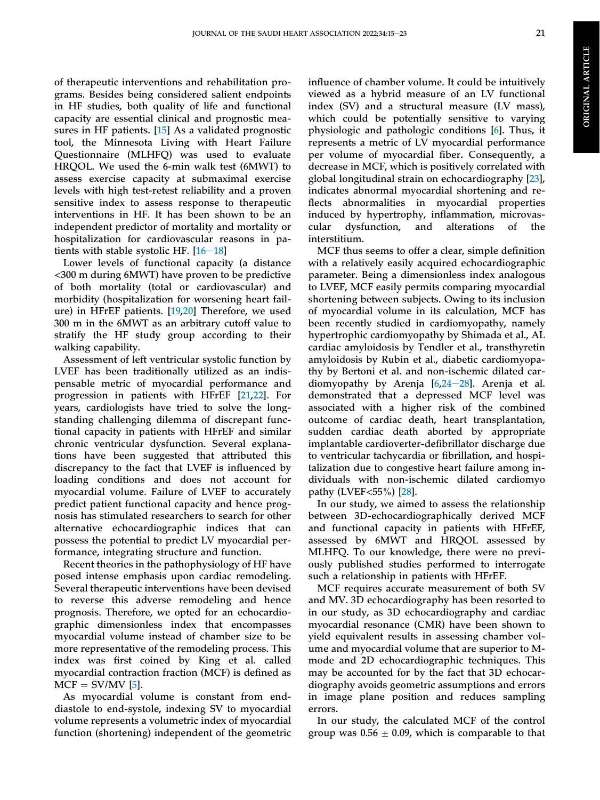of therapeutic interventions and rehabilitation programs. Besides being considered salient endpoints in HF studies, both quality of life and functional capacity are essential clinical and prognostic measures in HF patients. [[15\]](#page-9-7) As a validated prognostic tool, the Minnesota Living with Heart Failure Questionnaire (MLHFQ) was used to evaluate HRQOL. We used the 6-min walk test (6MWT) to assess exercise capacity at submaximal exercise levels with high test-retest reliability and a proven sensitive index to assess response to therapeutic interventions in HF. It has been shown to be an independent predictor of mortality and mortality or hospitalization for cardiovascular reasons in patients with stable systolic HF.  $[16-18]$  $[16-18]$  $[16-18]$  $[16-18]$  $[16-18]$ 

Lower levels of functional capacity (a distance <300 m during 6MWT) have proven to be predictive of both mortality (total or cardiovascular) and morbidity (hospitalization for worsening heart failure) in HFrEF patients. [\[19](#page-9-9),[20\]](#page-9-10) Therefore, we used 300 m in the 6MWT as an arbitrary cutoff value to stratify the HF study group according to their walking capability.

Assessment of left ventricular systolic function by LVEF has been traditionally utilized as an indispensable metric of myocardial performance and progression in patients with HFrEF [\[21](#page-9-11),[22\]](#page-9-12). For years, cardiologists have tried to solve the longstanding challenging dilemma of discrepant functional capacity in patients with HFrEF and similar chronic ventricular dysfunction. Several explanations have been suggested that attributed this discrepancy to the fact that LVEF is influenced by loading conditions and does not account for myocardial volume. Failure of LVEF to accurately predict patient functional capacity and hence prognosis has stimulated researchers to search for other alternative echocardiographic indices that can possess the potential to predict LV myocardial performance, integrating structure and function.

Recent theories in the pathophysiology of HF have posed intense emphasis upon cardiac remodeling. Several therapeutic interventions have been devised to reverse this adverse remodeling and hence prognosis. Therefore, we opted for an echocardiographic dimensionless index that encompasses myocardial volume instead of chamber size to be more representative of the remodeling process. This index was first coined by King et al. called myocardial contraction fraction (MCF) is defined as  $MCF = SV/MV$  [\[5](#page-8-4)].

As myocardial volume is constant from enddiastole to end-systole, indexing SV to myocardial volume represents a volumetric index of myocardial function (shortening) independent of the geometric

influence of chamber volume. It could be intuitively viewed as a hybrid measure of an LV functional index (SV) and a structural measure (LV mass), which could be potentially sensitive to varying physiologic and pathologic conditions [\[6](#page-9-0)]. Thus, it represents a metric of LV myocardial performance per volume of myocardial fiber. Consequently, a decrease in MCF, which is positively correlated with global longitudinal strain on echocardiography [[23\]](#page-9-13), indicates abnormal myocardial shortening and reflects abnormalities in myocardial properties induced by hypertrophy, inflammation, microvascular dysfunction, and alterations of the interstitium.

MCF thus seems to offer a clear, simple definition with a relatively easily acquired echocardiographic parameter. Being a dimensionless index analogous to LVEF, MCF easily permits comparing myocardial shortening between subjects. Owing to its inclusion of myocardial volume in its calculation, MCF has been recently studied in cardiomyopathy, namely hypertrophic cardiomyopathy by Shimada et al., AL cardiac amyloidosis by Tendler et al., transthyretin amyloidosis by Rubin et al., diabetic cardiomyopathy by Bertoni et al. and non-ischemic dilated cardiomyopathy by Arenja  $[6,24-28]$  $[6,24-28]$  $[6,24-28]$  $[6,24-28]$  $[6,24-28]$  $[6,24-28]$ . Arenja et al. demonstrated that a depressed MCF level was associated with a higher risk of the combined outcome of cardiac death, heart transplantation, sudden cardiac death aborted by appropriate implantable cardioverter-defibrillator discharge due to ventricular tachycardia or fibrillation, and hospitalization due to congestive heart failure among individuals with non-ischemic dilated cardiomyo pathy (LVEF<55%) [[28\]](#page-9-15).

In our study, we aimed to assess the relationship between 3D-echocardiographically derived MCF and functional capacity in patients with HFrEF, assessed by 6MWT and HRQOL assessed by MLHFQ. To our knowledge, there were no previously published studies performed to interrogate such a relationship in patients with HFrEF.

MCF requires accurate measurement of both SV and MV. 3D echocardiography has been resorted to in our study, as 3D echocardiography and cardiac myocardial resonance (CMR) have been shown to yield equivalent results in assessing chamber volume and myocardial volume that are superior to Mmode and 2D echocardiographic techniques. This may be accounted for by the fact that 3D echocardiography avoids geometric assumptions and errors in image plane position and reduces sampling errors.

In our study, the calculated MCF of the control group was  $0.56 \pm 0.09$ , which is comparable to that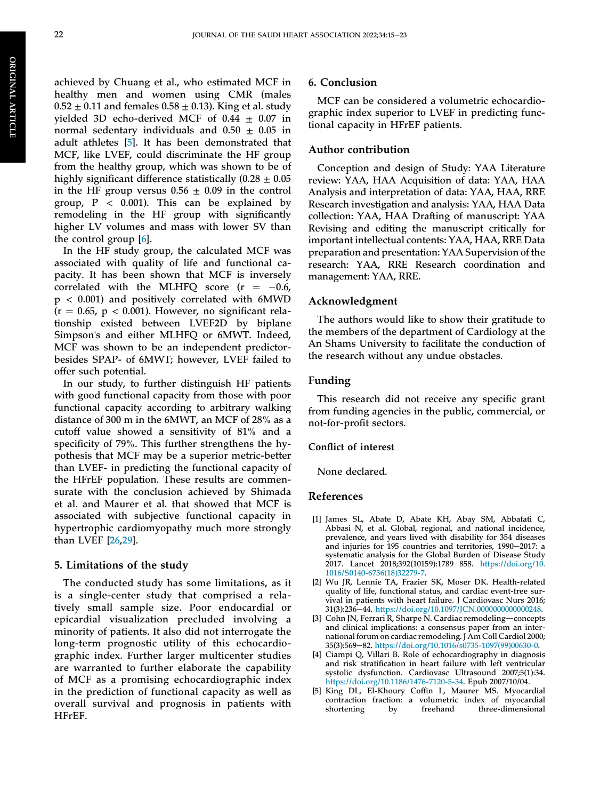achieved by Chuang et al., who estimated MCF in healthy men and women using CMR (males  $0.52 \pm 0.11$  and females  $0.58 \pm 0.13$ ). King et al. study yielded 3D echo-derived MCF of  $0.44 \pm 0.07$  in normal sedentary individuals and  $0.50 \pm 0.05$  in adult athletes [\[5](#page-8-4)]. It has been demonstrated that MCF, like LVEF, could discriminate the HF group from the healthy group, which was shown to be of highly significant difference statistically  $(0.28 \pm 0.05)$ in the HF group versus  $0.56 \pm 0.09$  in the control group,  $P < 0.001$ ). This can be explained by remodeling in the HF group with significantly higher LV volumes and mass with lower SV than the control group [\[6](#page-9-0)].

In the HF study group, the calculated MCF was associated with quality of life and functional capacity. It has been shown that MCF is inversely correlated with the MLHFQ score  $(r = -0.6,$ p < 0.001) and positively correlated with 6MWD  $(r = 0.65, p < 0.001)$ . However, no significant relationship existed between LVEF2D by biplane Simpson's and either MLHFQ or 6MWT. Indeed, MCF was shown to be an independent predictorbesides SPAP- of 6MWT; however, LVEF failed to offer such potential.

In our study, to further distinguish HF patients with good functional capacity from those with poor functional capacity according to arbitrary walking distance of 300 m in the 6MWT, an MCF of 28% as a cutoff value showed a sensitivity of 81% and a specificity of 79%. This further strengthens the hypothesis that MCF may be a superior metric-better than LVEF- in predicting the functional capacity of the HFrEF population. These results are commensurate with the conclusion achieved by Shimada et al. and Maurer et al. that showed that MCF is associated with subjective functional capacity in hypertrophic cardiomyopathy much more strongly than LVEF [\[26](#page-9-16),[29\]](#page-9-17).

#### 5. Limitations of the study

The conducted study has some limitations, as it is a single-center study that comprised a relatively small sample size. Poor endocardial or epicardial visualization precluded involving a minority of patients. It also did not interrogate the long-term prognostic utility of this echocardiographic index. Further larger multicenter studies are warranted to further elaborate the capability of MCF as a promising echocardiographic index in the prediction of functional capacity as well as overall survival and prognosis in patients with HFrEF.

#### 6. Conclusion

MCF can be considered a volumetric echocardiographic index superior to LVEF in predicting functional capacity in HFrEF patients.

#### Author contribution

Conception and design of Study: YAA Literature review: YAA, HAA Acquisition of data: YAA, HAA Analysis and interpretation of data: YAA, HAA, RRE Research investigation and analysis: YAA, HAA Data collection: YAA, HAA Drafting of manuscript: YAA Revising and editing the manuscript critically for important intellectual contents: YAA, HAA, RRE Data preparation and presentation: YAA Supervision of the research: YAA, RRE Research coordination and management: YAA, RRE.

#### Acknowledgment

The authors would like to show their gratitude to the members of the department of Cardiology at the An Shams University to facilitate the conduction of the research without any undue obstacles.

#### Funding

This research did not receive any specific grant from funding agencies in the public, commercial, or not-for-profit sectors.

#### Conflict of interest

None declared.

#### References

- <span id="page-8-0"></span>[1] James SL, Abate D, Abate KH, Abay SM, Abbafati C, Abbasi N, et al. Global, regional, and national incidence, prevalence, and years lived with disability for 354 diseases and injuries for 195 countries and territories, 1990-2017: a systematic analysis for the Global Burden of Disease Study 2017. Lancet 2018;392(10159):1789-858. [https://doi.org/10.](https://doi.org/10.1016/S0140-6736(18)32279-7) [1016/S0140-6736\(18\)32279-7.](https://doi.org/10.1016/S0140-6736(18)32279-7)
- <span id="page-8-1"></span>[2] Wu JR, Lennie TA, Frazier SK, Moser DK. Health-related quality of life, functional status, and cardiac event-free survival in patients with heart failure. J Cardiovasc Nurs 2016; 31(3):236-44. <https://doi.org/10.1097/JCN.0000000000000248>.
- <span id="page-8-2"></span>[3] Cohn JN, Ferrari  $\mathsf{\bar{R}}$ , Sharpe N. Cardiac remodeling—concepts and clinical implications: a consensus paper from an international forum on cardiac remodeling. J Am Coll Cardiol 2000; 35(3):569-82. [https://doi.org/10.1016/s0735-1097\(99\)00630-0](https://doi.org/10.1016/s0735-1097(99)00630-0).
- <span id="page-8-3"></span>[4] Ciampi Q, Villari B. Role of echocardiography in diagnosis and risk stratification in heart failure with left ventricular systolic dysfunction. Cardiovasc Ultrasound 2007;5(1):34. [https://doi.org/10.1186/1476-7120-5-34.](https://doi.org/10.1186/1476-7120-5-34) Epub 2007/10/04.
- <span id="page-8-4"></span>[5] King DL, El-Khoury Coffin L, Maurer MS. Myocardial contraction fraction: a volumetric index of myocardial shortening by freehand three-dimensional